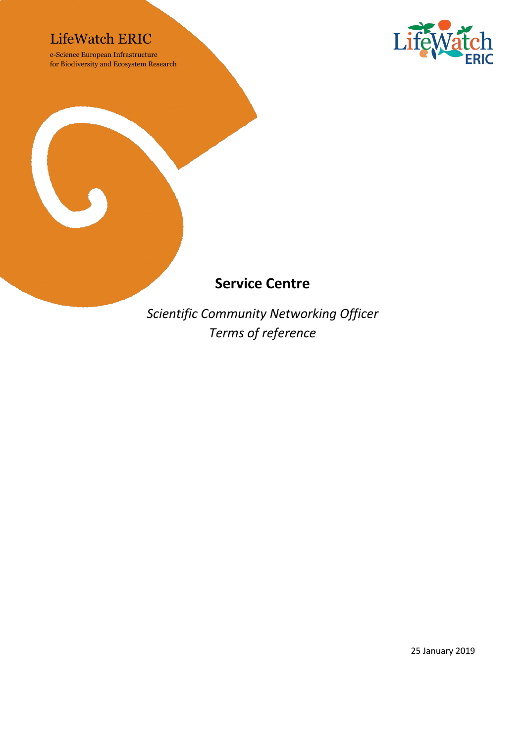### LifeWatch ERIC

e-Science European Infrastructure for Biodiversity and Ecosystem Research





## **Service Centre**

*Scientific Community Networking Officer Terms of reference*

25 January 2019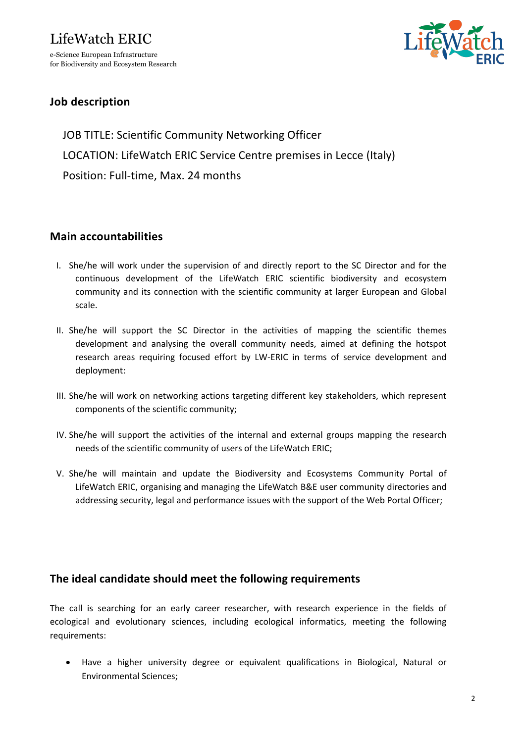

#### **Job description**

JOB TITLE: Scientific Community Networking Officer LOCATION: LifeWatch ERIC Service Centre premises in Lecce (Italy) Position: Full-time, Max. 24 months

#### **Main accountabilities**

- I. She/he will work under the supervision of and directly report to the SC Director and for the continuous development of the LifeWatch ERIC scientific biodiversity and ecosystem community and its connection with the scientific community at larger European and Global scale.
- II. She/he will support the SC Director in the activities of mapping the scientific themes development and analysing the overall community needs, aimed at defining the hotspot research areas requiring focused effort by LW-ERIC in terms of service development and deployment:
- III. She/he will work on networking actions targeting different key stakeholders, which represent components of the scientific community;
- IV. She/he will support the activities of the internal and external groups mapping the research needs of the scientific community of users of the LifeWatch ERIC;
- V. She/he will maintain and update the Biodiversity and Ecosystems Community Portal of LifeWatch ERIC, organising and managing the LifeWatch B&E user community directories and addressing security, legal and performance issues with the support of the Web Portal Officer;

#### **The ideal candidate should meet the following requirements**

The call is searching for an early career researcher, with research experience in the fields of ecological and evolutionary sciences, including ecological informatics, meeting the following requirements:

• Have a higher university degree or equivalent qualifications in Biological, Natural or Environmental Sciences;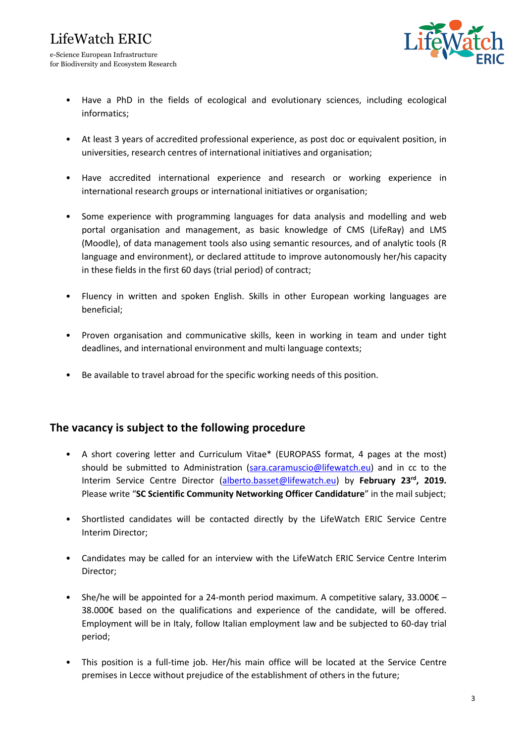for Biodiversity and Ecosystem Research



- Have a PhD in the fields of ecological and evolutionary sciences, including ecological informatics;
- At least 3 years of accredited professional experience, as post doc or equivalent position, in universities, research centres of international initiatives and organisation;
- Have accredited international experience and research or working experience in international research groups or international initiatives or organisation;
- Some experience with programming languages for data analysis and modelling and web portal organisation and management, as basic knowledge of CMS (LifeRay) and LMS (Moodle), of data management tools also using semantic resources, and of analytic tools (R language and environment), or declared attitude to improve autonomously her/his capacity in these fields in the first 60 days (trial period) of contract;
- Fluency in written and spoken English. Skills in other European working languages are beneficial;
- Proven organisation and communicative skills, keen in working in team and under tight deadlines, and international environment and multi language contexts;
- Be available to travel abroad for the specific working needs of this position.

#### **The vacancy is subject to the following procedure**

- A short covering letter and Curriculum Vitae\* (EUROPASS format, 4 pages at the most) should be submitted to Administration (sara.caramuscio@lifewatch.eu) and in cc to the Interim Service Centre Director (alberto.basset@lifewatch.eu) by **February 23rd, 2019.** Please write "**SC Scientific Community Networking Officer Candidature**" in the mail subject;
- Shortlisted candidates will be contacted directly by the LifeWatch ERIC Service Centre Interim Director;
- Candidates may be called for an interview with the LifeWatch ERIC Service Centre Interim Director;
- She/he will be appointed for a 24-month period maximum. A competitive salary, 33,000 $\epsilon$  38.000€ based on the qualifications and experience of the candidate, will be offered. Employment will be in Italy, follow Italian employment law and be subjected to 60-day trial period;
- This position is a full-time job. Her/his main office will be located at the Service Centre premises in Lecce without prejudice of the establishment of others in the future;